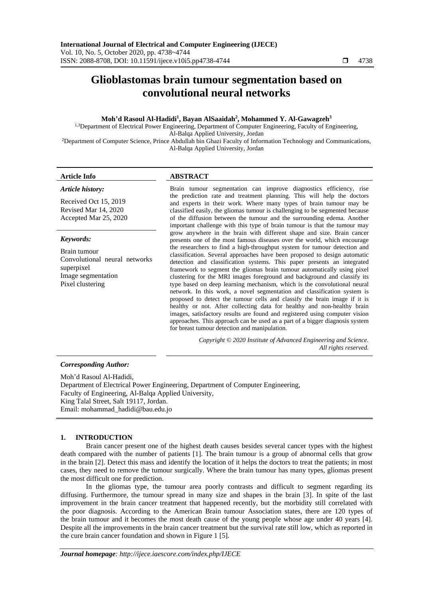# **Glioblastomas brain tumour segmentation based on convolutional neural networks**

#### **Moh'd Rasoul Al-Hadidi<sup>1</sup> , Bayan AlSaaidah<sup>2</sup> , Mohammed Y. Al-Gawagzeh<sup>3</sup>**

<sup>1,3</sup>Department of Electrical Power Engineering, Department of Computer Engineering, Faculty of Engineering, Al-Balqa Applied University, Jordan

<sup>2</sup>Department of Computer Science, Prince Abdullah bin Ghazi Faculty of Information Technology and Communications, Al-Balqa Applied University, Jordan

#### *Article history:*

Received Oct 15, 2019 Revised Mar 14, 2020 Accepted Mar 25, 2020

#### *Keywords:*

Brain tumour Convolutional neural networks superpixel Image segmentation Pixel clustering

# **Article Info ABSTRACT**

Brain tumour segmentation can improve diagnostics efficiency, rise the prediction rate and treatment planning. This will help the doctors and experts in their work. Where many types of brain tumour may be classified easily, the gliomas tumour is challenging to be segmented because of the diffusion between the tumour and the surrounding edema. Another important challenge with this type of brain tumour is that the tumour may grow anywhere in the brain with different shape and size. Brain cancer presents one of the most famous diseases over the world, which encourage the researchers to find a high-throughput system for tumour detection and classification. Several approaches have been proposed to design automatic detection and classification systems. This paper presents an integrated framework to segment the gliomas brain tumour automatically using pixel clustering for the MRI images foreground and background and classify its type based on deep learning mechanism, which is the convolutional neural network. In this work, a novel segmentation and classification system is proposed to detect the tumour cells and classify the brain image if it is healthy or not. After collecting data for healthy and non-healthy brain images, satisfactory results are found and registered using computer vision approaches. This approach can be used as a part of a bigger diagnosis system for breast tumour detection and manipulation.

> *Copyright © 2020 Institute of Advanced Engineering and Science. All rights reserved.*

#### *Corresponding Author:*

Moh'd Rasoul Al-Hadidi, Department of Electrical Power Engineering, Department of Computer Engineering, Faculty of Engineering, Al-Balqa Applied University, King Talal Street, Salt 19117, Jordan. Email: mohammad\_hadidi@bau.edu.jo

#### **1. INTRODUCTION**

Brain cancer present one of the highest death causes besides several cancer types with the highest death compared with the number of patients [1]. The brain tumour is a group of abnormal cells that grow in the brain [2]. Detect this mass and identify the location of it helps the doctors to treat the patients; in most cases, they need to remove the tumour surgically. Where the brain tumour has many types, gliomas present the most difficult one for prediction.

In the gliomas type, the tumour area poorly contrasts and difficult to segment regarding its diffusing. Furthermore, the tumour spread in many size and shapes in the brain [3]. In spite of the last improvement in the brain cancer treatment that happened recently, but the morbidity still correlated with the poor diagnosis. According to the American Brain tumour Association states, there are 120 types of the brain tumour and it becomes the most death cause of the young people whose age under 40 years [4]. Despite all the improvements in the brain cancer treatment but the survival rate still low, which as reported in the cure brain cancer foundation and shown in Figure 1 [5].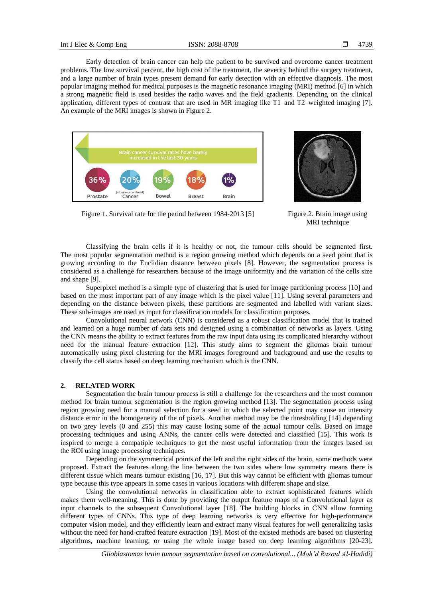Early detection of brain cancer can help the patient to be survived and overcome cancer treatment problems. The low survival percent, the high cost of the treatment, the severity behind the surgery treatment, and a large number of brain types present demand for early detection with an effective diagnosis. The most popular imaging method for medical purposes is the magnetic resonance imaging (MRI) method [6] in which a strong magnetic field is used besides the radio waves and the field gradients. Depending on the clinical application, different types of contrast that are used in MR imaging like T1–and T2–weighted imaging [7]. An example of the MRI images is shown in Figure 2.





Figure 1. Survival rate for the period between 1984-2013 [5] Figure 2. Brain image using MRI technique

Classifying the brain cells if it is healthy or not, the tumour cells should be segmented first. The most popular segmentation method is a region growing method which depends on a seed point that is growing according to the Euclidian distance between pixels [8]. However, the segmentation process is considered as a challenge for researchers because of the image uniformity and the variation of the cells size and shape [9].

Superpixel method is a simple type of clustering that is used for image partitioning process [10] and based on the most important part of any image which is the pixel value [11]. Using several parameters and depending on the distance between pixels, these partitions are segmented and labelled with variant sizes. These sub-images are used as input for classification models for classification purposes.

Convolutional neural network (CNN) is considered as a robust classification model that is trained and learned on a huge number of data sets and designed using a combination of networks as layers. Using the CNN means the ability to extract features from the raw input data using its complicated hierarchy without need for the manual feature extraction [12]. This study aims to segment the gliomas brain tumour automatically using pixel clustering for the MRI images foreground and background and use the results to classify the cell status based on deep learning mechanism which is the CNN.

# **2. RELATED WORK**

Segmentation the brain tumour process is still a challenge for the researchers and the most common method for brain tumour segmentation is the region growing method [13]. The segmentation process using region growing need for a manual selection for a seed in which the selected point may cause an intensity distance error in the homogeneity of the of pixels. Another method may be the thresholding [14] depending on two grey levels (0 and 255) this may cause losing some of the actual tumour cells. Based on image processing techniques and using ANNs, the cancer cells were detected and classified [15]. This work is inspired to merge a compatiple techniques to get the most useful information from the images based on the ROI using image processing techniques.

Depending on the symmetrical points of the left and the right sides of the brain, some methods were proposed. Extract the features along the line between the two sides where low symmetry means there is different tissue which means tumour existing [16, 17]. But this way cannot be efficient with gliomas tumour type because this type appears in some cases in various locations with different shape and size.

Using the convolutional networks in classification able to extract sophisticated features which makes them well-meaning. This is done by providing the output feature maps of a Convolutional layer as input channels to the subsequent Convolutional layer [18]. The building blocks in CNN allow forming different types of CNNs. This type of deep learning networks is very effective for high-performance computer vision model, and they efficiently learn and extract many visual features for well generalizing tasks without the need for hand-crafted feature extraction [19]. Most of the existed methods are based on clustering algorithms, machine learning, or using the whole image based on deep learning algorithms [20-23].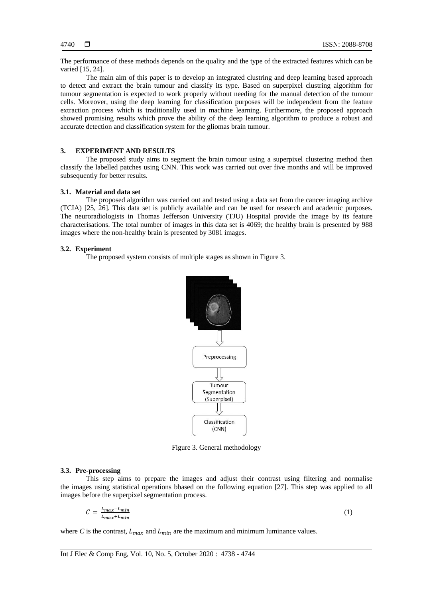The performance of these methods depends on the quality and the type of the extracted features which can be varied [15, 24].

The main aim of this paper is to develop an integrated clustring and deep learning based approach to detect and extract the brain tumour and classify its type. Based on superpixel clustring algorithm for tumour segmentation is expected to work properly without needing for the manual detection of the tumour cells. Moreover, using the deep learning for classification purposes will be independent from the feature extraction process which is traditionally used in machine learning. Furthermore, the proposed approach showed promising results which prove the ability of the deep learning algorithm to produce a robust and accurate detection and classification system for the gliomas brain tumour.

#### **3. EXPERIMENT AND RESULTS**

The proposed study aims to segment the brain tumour using a superpixel clustering method then classify the labelled patches using CNN. This work was carried out over five months and will be improved subsequently for better results.

#### **3.1. Material and data set**

The proposed algorithm was carried out and tested using a data set from the cancer imaging archive (TCIA) [25, 26]. This data set is publicly available and can be used for research and academic purposes. The neuroradiologists in Thomas Jefferson University (TJU) Hospital provide the image by its feature characterisations. The total number of images in this data set is 4069; the healthy brain is presented by 988 images where the non-healthy brain is presented by 3081 images.

#### **3.2. Experiment**

The proposed system consists of multiple stages as shown in Figure 3.



Figure 3. General methodology

#### **3.3. Pre-processing**

This step aims to prepare the images and adjust their contrast using filtering and normalise the images using statistical operations bbased on the following equation [27]. This step was applied to all images before the superpixel segmentation process.

$$
C = \frac{L_{max} - L_{min}}{L_{max} + L_{min}}\tag{1}
$$

where *C* is the contrast,  $L_{max}$  and  $L_{min}$  are the maximum and minimum luminance values.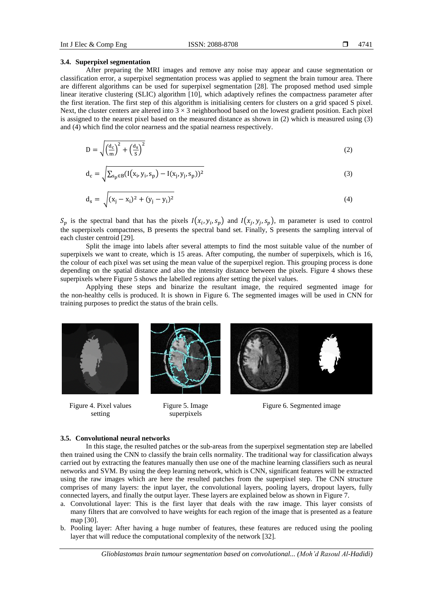#### **3.4. Superpixel segmentation**

After preparing the MRI images and remove any noise may appear and cause segmentation or classification error, a superpixel segmentation process was applied to segment the brain tumour area. There are different algorithms can be used for superpixel segmentation [28]. The proposed method used simple linear iterative clustering (SLIC) algorithm [10], which adaptively refines the compactness parameter after the first iteration. The first step of this algorithm is initialising centers for clusters on a grid spaced S pixel. Next, the cluster centers are altered into  $3 \times 3$  neighborhood based on the lowest gradient position. Each pixel is assigned to the nearest pixel based on the measured distance as shown in (2) which is measured using (3) and (4) which find the color nearness and the spatial nearness respectively.

$$
D = \sqrt{\left(\frac{d_c}{m}\right)^2 + \left(\frac{d_s}{s}\right)^2} \tag{2}
$$

$$
d_c = \sqrt{\sum_{s_p \in B} (I(x_i, y_i, s_p) - I(x_j, y_j, s_p))^2}
$$
(3)

$$
d_s = \sqrt{(x_j - x_i)^2 + (y_j - y_i)^2}
$$
 (4)

 $S_p$  is the spectral band that has the pixels  $I(x_i, y_i, s_p)$  and  $I(x_j, y_j, s_p)$ , m parameter is used to control the superpixels compactness, B presents the spectral band set. Finally, S presents the sampling interval of each cluster centroid [29].

Split the image into labels after several attempts to find the most suitable value of the number of superpixels we want to create, which is 15 areas. After computing, the number of superpixels, which is 16, the colour of each pixel was set using the mean value of the superpixel region. This grouping process is done depending on the spatial distance and also the intensity distance between the pixels. Figure 4 shows these superpixels where Figure 5 shows the labelled regions after setting the pixel values.

Applying these steps and binarize the resultant image, the required segmented image for the non-healthy cells is produced. It is shown in Figure 6. The segmented images will be used in CNN for training purposes to predict the status of the brain cells.



Figure 4. Pixel values setting



Figure 5. Image superpixels



Figure 6. Segmented image

#### **3.5. Convolutional neural networks**

In this stage, the resulted patches or the sub-areas from the superpixel segmentation step are labelled then trained using the CNN to classify the brain cells normality. The traditional way for classification always carried out by extracting the features manually then use one of the machine learning classifiers such as neural networks and SVM. By using the deep learning network, which is CNN, significant features will be extracted using the raw images which are here the resulted patches from the superpixel step. The CNN structure comprises of many layers: the input layer, the convolutional layers, pooling layers, dropout layers, fully connected layers, and finally the output layer. These layers are explained below as shown in Figure 7.

- a. Convolutional layer: This is the first layer that deals with the raw image. This layer consists of many filters that are convolved to have weights for each region of the image that is presented as a feature map [30].
- b. Pooling layer: After having a huge number of features, these features are reduced using the pooling layer that will reduce the computational complexity of the network [32].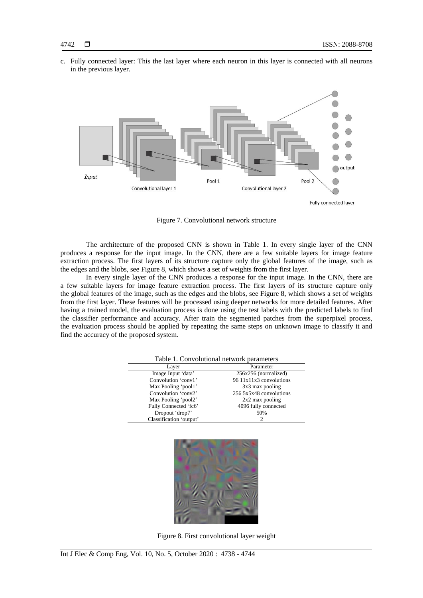c. Fully connected layer: This the last layer where each neuron in this layer is connected with all neurons in the previous layer.



Figure 7. Convolutional network structure

The architecture of the proposed CNN is shown in Table 1. In every single layer of the CNN produces a response for the input image. In the CNN, there are a few suitable layers for image feature extraction process. The first layers of its structure capture only the global features of the image, such as the edges and the blobs, see Figure 8, which shows a set of weights from the first layer.

In every single layer of the CNN produces a response for the input image. In the CNN, there are a few suitable layers for image feature extraction process. The first layers of its structure capture only the global features of the image, such as the edges and the blobs, see Figure 8, which shows a set of weights from the first layer. These features will be processed using deeper networks for more detailed features. After having a trained model, the evaluation process is done using the test labels with the predicted labels to find the classifier performance and accuracy. After train the segmented patches from the superpixel process, the evaluation process should be applied by repeating the same steps on unknown image to classify it and find the accuracy of the proposed system.

| Table 1. Convolutional network parameters |                         |  |
|-------------------------------------------|-------------------------|--|
| Layer                                     | Parameter               |  |
| Image Input 'data'                        | 256x256 (normalized)    |  |
| Convolution 'conv1'                       | 96 11x11x3 convolutions |  |
| Max Pooling 'pool1'                       | $3x3$ max pooling       |  |
| Convolution 'conv2'                       | 256 5x5x48 convolutions |  |
| Max Pooling 'pool2'                       | $2x2$ max pooling       |  |
| Fully Connected 'fc6'                     | 4096 fully connected    |  |
| Dropout 'drop7'                           | 50%                     |  |
| Classification 'output'                   | 2                       |  |



Figure 8. First convolutional layer weight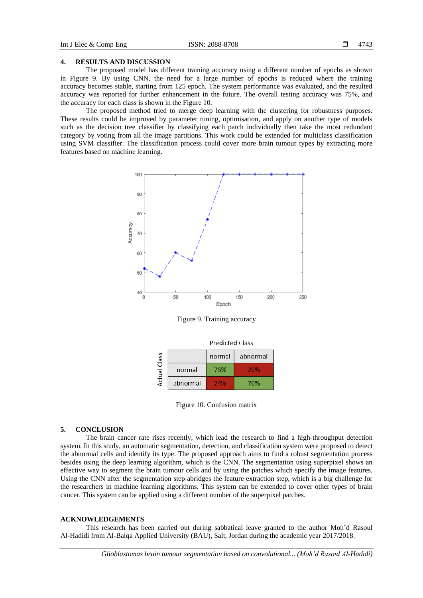### **4. RESULTS AND DISCUSSION**

The proposed model has different training accuracy using a different number of epochs as shown in Figure 9. By using CNN, the need for a large number of epochs is reduced where the training accuracy becomes stable, starting from 125 epoch. The system performance was evaluated, and the resulted accuracy was reported for further enhancement in the future. The overall testing accuracy was 75%, and the accuracy for each class is shown in the Figure 10.

The proposed method tried to merge deep learning with the clustering for robustness purposes. These results could be improved by parameter tuning, optimisation, and apply on another type of models such as the decision tree classifier by classifying each patch individually then take the most redundant category by voting from all the image partitions. This work could be extended for multiclass classification using SVM classifier. The classification process could cover more brain tumour types by extracting more features based on machine learning.



Figure 9. Training accuracy

|                 |          | <b>Predicted Class</b> |          |  |
|-----------------|----------|------------------------|----------|--|
| Class<br>Actual |          | normal                 | abnormal |  |
|                 | normal   | 75%                    | 25%      |  |
|                 | abnormal | 24%                    | 76%      |  |

Figure 10. Confusion matrix

#### **5. CONCLUSION**

The brain cancer rate rises recently, which lead the research to find a high-throughput detection system. In this study, an automatic segmentation, detection, and classification system were proposed to detect the abnormal cells and identify its type. The proposed approach aims to find a robust segmentation process besides using the deep learning algorithm, which is the CNN. The segmentation using superpixel shows an effective way to segment the brain tumour cells and by using the patches which specify the image features. Using the CNN after the segmentation step abridges the feature extraction step, which is a big challenge for the researchers in machine learning algorithms. This system can be extended to cover other types of brain cancer. This system can be applied using a different number of the superpixel patches.

#### **ACKNOWLEDGEMENTS**

This research has been carried out during sabbatical leave granted to the author Moh'd Rasoul Al-Hadidi from Al-Balqa Applied University (BAU), Salt, Jordan during the academic year 2017/2018.